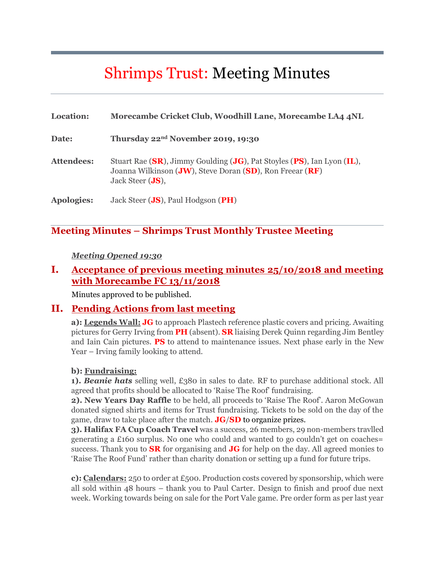# Shrimps Trust: Meeting Minutes

| Location:         | Morecambe Cricket Club, Woodhill Lane, Morecambe LA4 4NL                                                                                                                        |
|-------------------|---------------------------------------------------------------------------------------------------------------------------------------------------------------------------------|
| Date:             | Thursday 22 <sup>nd</sup> November 2019, 19:30                                                                                                                                  |
| <b>Attendees:</b> | Stuart Rae (SR), Jimmy Goulding (JG), Pat Stoyles (PS), Ian Lyon (IL),<br>Joanna Wilkinson ( <b>JW</b> ), Steve Doran (SD), Ron Freear ( $RF$ )<br>Jack Steer $(\mathbf{JS})$ , |
| <b>Apologies:</b> | Jack Steer ( <b>JS</b> ), Paul Hodgson ( <b>PH</b> )                                                                                                                            |

#### **Meeting Minutes – Shrimps Trust Monthly Trustee Meeting**

#### *Meeting Opened 19:30*

### **I. Acceptance of previous meeting minutes 25/10/2018 and meeting with Morecambe FC 13/11/2018**

Minutes approved to be published.

#### **II. Pending Actions from last meeting**

**a): Legends Wall: JG** to approach Plastech reference plastic covers and pricing. Awaiting pictures for Gerry Irving from **PH** (absent). **SR** liaising Derek Quinn regarding Jim Bentley and Iain Cain pictures. **PS** to attend to maintenance issues. Next phase early in the New Year – Irving family looking to attend.

#### **b): Fundraising:**

**1).** *Beanie hats* selling well, £380 in sales to date. RF to purchase additional stock. All agreed that profits should be allocated to 'Raise The Roof' fundraising.

**2). New Years Day Raffle** to be held, all proceeds to 'Raise The Roof'. Aaron McGowan donated signed shirts and items for Trust fundraising. Tickets to be sold on the day of the game, draw to take place after the match. **JG**/**SD** to organize prizes.

**3). Halifax FA Cup Coach Travel** was a success, 26 members, 29 non-members travlled generating a £160 surplus. No one who could and wanted to go couldn't get on coaches= success. Thank you to **SR** for organising and **JG** for help on the day. All agreed monies to 'Raise The Roof Fund' rather than charity donation or setting up a fund for future trips.

**c): Calendars:** 250 to order at £500. Production costs covered by sponsorship, which were all sold within 48 hours – thank you to Paul Carter. Design to finish and proof due next week. Working towards being on sale for the Port Vale game. Pre order form as per last year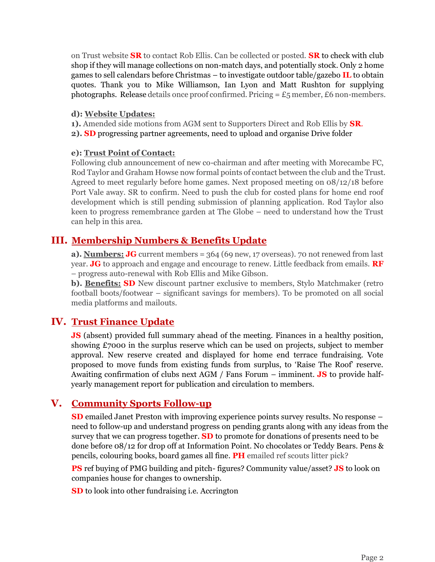on Trust website **SR** to contact Rob Ellis. Can be collected or posted. **SR** to check with club shop if they will manage collections on non-match days, and potentially stock. Only 2 home games to sell calendars before Christmas – to investigate outdoor table/gazebo **IL** to obtain quotes. Thank you to Mike Williamson, Ian Lyon and Matt Rushton for supplying photographs. Release details once proof confirmed. Pricing  $= \pounds_5$  member,  $\pounds_6$  non-members.

#### **d): Website Updates:**

**1).** Amended side motions from AGM sent to Supporters Direct and Rob Ellis by **SR**.

**2). SD** progressing partner agreements, need to upload and organise Drive folder

#### **e): Trust Point of Contact:**

Following club announcement of new co-chairman and after meeting with Morecambe FC, Rod Taylor and Graham Howse now formal points of contact between the club and the Trust. Agreed to meet regularly before home games. Next proposed meeting on 08/12/18 before Port Vale away. SR to confirm. Need to push the club for costed plans for home end roof development which is still pending submission of planning application. Rod Taylor also keen to progress remembrance garden at The Globe – need to understand how the Trust can help in this area.

## **III. Membership Numbers & Benefits Update**

**a). Numbers: JG** current members = 364 (69 new, 17 overseas). 70 not renewed from last year. **JG** to approach and engage and encourage to renew. Little feedback from emails. **RF** – progress auto-renewal with Rob Ellis and Mike Gibson.

**b). Benefits: SD** New discount partner exclusive to members, Stylo Matchmaker (retro football boots/footwear – significant savings for members). To be promoted on all social media platforms and mailouts.

## **IV. Trust Finance Update**

**JS** (absent) provided full summary ahead of the meeting. Finances in a healthy position, showing £7000 in the surplus reserve which can be used on projects, subject to member approval. New reserve created and displayed for home end terrace fundraising. Vote proposed to move funds from existing funds from surplus, to 'Raise The Roof' reserve. Awaiting confirmation of clubs next AGM / Fans Forum – imminent. **JS** to provide halfyearly management report for publication and circulation to members.

## **V. Community Sports Follow-up**

**SD** emailed Janet Preston with improving experience points survey results. No response – need to follow-up and understand progress on pending grants along with any ideas from the survey that we can progress together. **SD** to promote for donations of presents need to be done before 08/12 for drop off at Information Point. No chocolates or Teddy Bears. Pens & pencils, colouring books, board games all fine. **PH** emailed ref scouts litter pick?

**PS** ref buying of PMG building and pitch- figures? Community value/asset? **JS** to look on companies house for changes to ownership.

**SD** to look into other fundraising i.e. Accrington